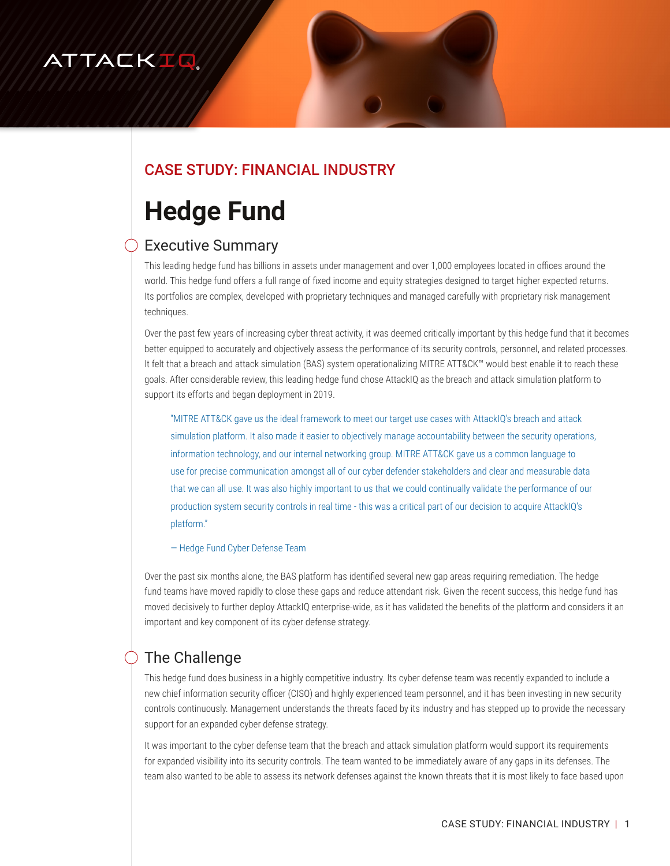# ATTACKIQ

### CASE STUDY: FINANCIAL INDUSTRY

# **Hedge Fund**

#### Executive Summary

This leading hedge fund has billions in assets under management and over 1,000 employees located in offices around the world. This hedge fund offers a full range of fixed income and equity strategies designed to target higher expected returns. Its portfolios are complex, developed with proprietary techniques and managed carefully with proprietary risk management techniques.

Over the past few years of increasing cyber threat activity, it was deemed critically important by this hedge fund that it becomes better equipped to accurately and objectively assess the performance of its security controls, personnel, and related processes. It felt that a breach and attack simulation (BAS) system operationalizing MITRE ATT&CK™ would best enable it to reach these goals. After considerable review, this leading hedge fund chose AttackIQ as the breach and attack simulation platform to support its efforts and began deployment in 2019.

"MITRE ATT&CK gave us the ideal framework to meet our target use cases with AttackIQ's breach and attack simulation platform. It also made it easier to objectively manage accountability between the security operations, information technology, and our internal networking group. MITRE ATT&CK gave us a common language to use for precise communication amongst all of our cyber defender stakeholders and clear and measurable data that we can all use. It was also highly important to us that we could continually validate the performance of our production system security controls in real time - this was a critical part of our decision to acquire AttackIQ's platform."

— Hedge Fund Cyber Defense Team

Over the past six months alone, the BAS platform has identified several new gap areas requiring remediation. The hedge fund teams have moved rapidly to close these gaps and reduce attendant risk. Given the recent success, this hedge fund has moved decisively to further deploy AttackIQ enterprise-wide, as it has validated the benefits of the platform and considers it an important and key component of its cyber defense strategy.

## The Challenge

This hedge fund does business in a highly competitive industry. Its cyber defense team was recently expanded to include a new chief information security officer (CISO) and highly experienced team personnel, and it has been investing in new security controls continuously. Management understands the threats faced by its industry and has stepped up to provide the necessary support for an expanded cyber defense strategy.

It was important to the cyber defense team that the breach and attack simulation platform would support its requirements for expanded visibility into its security controls. The team wanted to be immediately aware of any gaps in its defenses. The team also wanted to be able to assess its network defenses against the known threats that it is most likely to face based upon